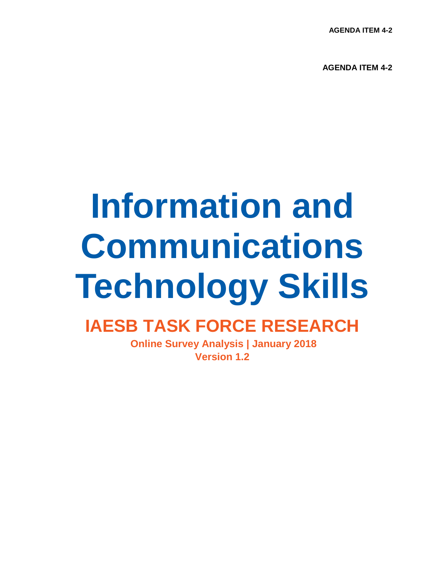**AGENDA ITEM 4-2**

**AGENDA ITEM 4-2**

# **Information and Communications Technology Skills**

### **IAESB TASK FORCE RESEARCH**

**Online Survey Analysis | January 2018 Version 1.2**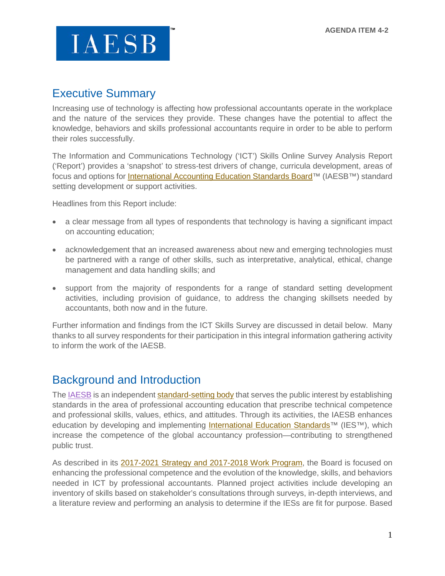### Executive Summary

Increasing use of technology is affecting how professional accountants operate in the workplace and the nature of the services they provide. These changes have the potential to affect the knowledge, behaviors and skills professional accountants require in order to be able to perform their roles successfully.

The Information and Communications Technology ('ICT') Skills Online Survey Analysis Report ('Report') provides a 'snapshot' to stress-test drivers of change, curricula development, areas of focus and options for *International Accounting Education Standards Board*<sup>™</sup> (IAESB<sup>™)</sup> standard setting development or support activities.

Headlines from this Report include:

- a clear message from all types of respondents that technology is having a significant impact on accounting education;
- acknowledgement that an increased awareness about new and emerging technologies must be partnered with a range of other skills, such as interpretative, analytical, ethical, change management and data handling skills; and
- support from the majority of respondents for a range of standard setting development activities, including provision of guidance, to address the changing skillsets needed by accountants, both now and in the future.

Further information and findings from the ICT Skills Survey are discussed in detail below. Many thanks to all survey respondents for their participation in this integral information gathering activity to inform the work of the IAESB.

### Background and Introduction

The [IAESB](https://na01.safelinks.protection.outlook.com/?url=http%3A%2F%2Fwww.iaesb.org%2F&data=02%7C01%7Cgowens%40bdo.com%7Cc653eda3dd214b16b29208d5627f92d9%7C6e57fc1a413e405091da7d2dc8543e3c%7C0%7C0%7C636523222419902772&sdata=2ZOe0KeM5ZDinrGwO9avWfy%2BAjVrzZA6EK80tXtpJQI%3D&reserved=0) is an independen[t standard-setting body](https://na01.safelinks.protection.outlook.com/?url=http%3A%2F%2Fwww.ifac.org%2Fsystem%2Ffiles%2Fuploads%2FIAESB%2FIAESB-Fact-Sheet-2015-2.pdf&data=02%7C01%7Cgowens%40bdo.com%7Cc653eda3dd214b16b29208d5627f92d9%7C6e57fc1a413e405091da7d2dc8543e3c%7C0%7C1%7C636523222419902772&sdata=zo5YmrRU1BxjNusa6%2F1Oy%2Fr0Jpyl%2BH43CsxbVG2kLXM%3D&reserved=0) that serves the public interest by establishing standards in the area of professional accounting education that prescribe technical competence and professional skills, values, ethics, and attitudes. Through its activities, the IAESB enhances education by developing and implementing [International Education Standards™](https://na01.safelinks.protection.outlook.com/?url=http%3A%2F%2Fwww.ifac.org%2Fpublications-resources%2F2017-handbook-international-education-pronouncements&data=02%7C01%7Cgowens%40bdo.com%7Cc653eda3dd214b16b29208d5627f92d9%7C6e57fc1a413e405091da7d2dc8543e3c%7C0%7C0%7C636523222419902772&sdata=eEywDBzktgEs4O0wm%2BkuXobCLWyq4mlxdmV6zKWUbqw%3D&reserved=0) (IES™), which increase the competence of the global accountancy profession—contributing to strengthened public trust.

As described in its [2017-2021 Strategy and 2017-2018 Work Program,](https://na01.safelinks.protection.outlook.com/?url=https%3A%2F%2Fwww.ifac.org%2Fsystem%2Ffiles%2Fpublications%2Ffiles%2FIAESB-Strategy-and-Work-Plan.pdf&data=02%7C01%7Cgowens%40bdo.com%7Cc653eda3dd214b16b29208d5627f92d9%7C6e57fc1a413e405091da7d2dc8543e3c%7C0%7C1%7C636523222419902772&sdata=pstRP69RE3bpvZ%2BKEN7%2FE65Tk5jDKZqHQdzuTSsWk7M%3D&reserved=0) the Board is focused on enhancing the professional competence and the evolution of the knowledge, skills, and behaviors needed in ICT by professional accountants. Planned project activities include developing an inventory of skills based on stakeholder's consultations through surveys, in-depth interviews, and a literature review and performing an analysis to determine if the IESs are fit for purpose. Based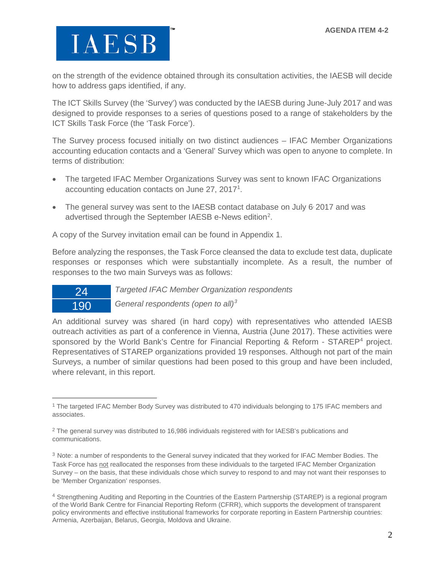$\overline{a}$ 

on the strength of the evidence obtained through its consultation activities, the IAESB will decide how to address gaps identified, if any.

The ICT Skills Survey (the 'Survey') was conducted by the IAESB during June-July 2017 and was designed to provide responses to a series of questions posed to a range of stakeholders by the ICT Skills Task Force (the 'Task Force').

The Survey process focused initially on two distinct audiences – IFAC Member Organizations accounting education contacts and a 'General' Survey which was open to anyone to complete. In terms of distribution:

- The targeted IFAC Member Organizations Survey was sent to known IFAC Organizations accounting education contacts on June 27, 20[1](#page-2-0)7<sup>1</sup>.
- The general survey was sent to the IAESB contact database on July 6 2017 and was advertised through the September IAESB e-News edition<sup>[2](#page-2-1)</sup>.

A copy of the Survey invitation email can be found in Appendix 1.

Before analyzing the responses, the Task Force cleansed the data to exclude test data, duplicate responses or responses which were substantially incomplete. As a result, the number of responses to the two main Surveys was as follows:

24 *Targeted IFAC Member Organization respondents* 190 *General respondents (open to all)[3](#page-2-2)*

An additional survey was shared (in hard copy) with representatives who attended IAESB outreach activities as part of a conference in Vienna, Austria (June 2017). These activities were sponsored by the World Bank's Centre for Financial Reporting & Reform - STAREP<sup>[4](#page-2-3)</sup> project. Representatives of STAREP organizations provided 19 responses. Although not part of the main Surveys, a number of similar questions had been posed to this group and have been included, where relevant, in this report.

<span id="page-2-0"></span><sup>1</sup> The targeted IFAC Member Body Survey was distributed to 470 individuals belonging to 175 IFAC members and associates.

<span id="page-2-1"></span><sup>2</sup> The general survey was distributed to 16,986 individuals registered with for IAESB's publications and communications.

<span id="page-2-2"></span><sup>3</sup> Note: a number of respondents to the General survey indicated that they worked for IFAC Member Bodies. The Task Force has not reallocated the responses from these individuals to the targeted IFAC Member Organization Survey – on the basis, that these individuals chose which survey to respond to and may not want their responses to be 'Member Organization' responses.

<span id="page-2-3"></span><sup>4</sup> Strengthening Auditing and Reporting in the Countries of the Eastern Partnership (STAREP) is a regional program of the World Bank Centre for Financial Reporting Reform (CFRR), which supports the development of transparent policy environments and effective institutional frameworks for corporate reporting in Eastern Partnership countries: Armenia, Azerbaijan, Belarus, Georgia, Moldova and Ukraine.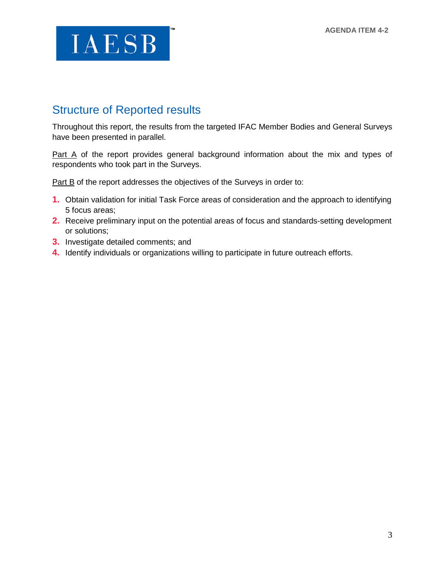### Structure of Reported results

Throughout this report, the results from the targeted IFAC Member Bodies and General Surveys have been presented in parallel.

[Part A](#page-4-0) of the report provides general background information about the mix and types of respondents who took part in the Surveys.

[Part B](#page-8-0) of the report addresses the objectives of the Surveys in order to:

- **1.** Obtain validation for initial Task Force areas of consideration and the approach to identifying 5 focus areas;
- **2.** Receive preliminary input on the potential areas of focus and standards-setting development or solutions;
- **3.** Investigate detailed comments; and
- **4.** Identify individuals or organizations willing to participate in future outreach efforts.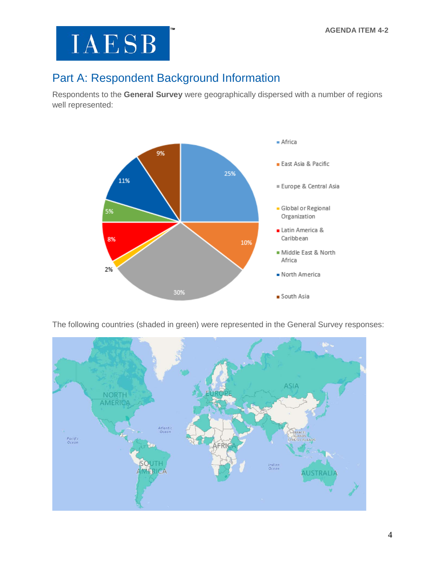### <span id="page-4-0"></span>Part A: Respondent Background Information

Respondents to the **General Survey** were geographically dispersed with a number of regions well represented:



The following countries (shaded in green) were represented in the General Survey responses:

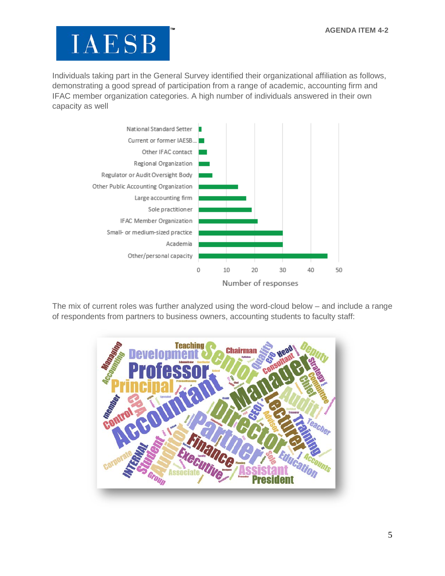Individuals taking part in the General Survey identified their organizational affiliation as follows, demonstrating a good spread of participation from a range of academic, accounting firm and IFAC member organization categories. A high number of individuals answered in their own capacity as well



The mix of current roles was further analyzed using the word-cloud below – and include a range of respondents from partners to business owners, accounting students to faculty staff:

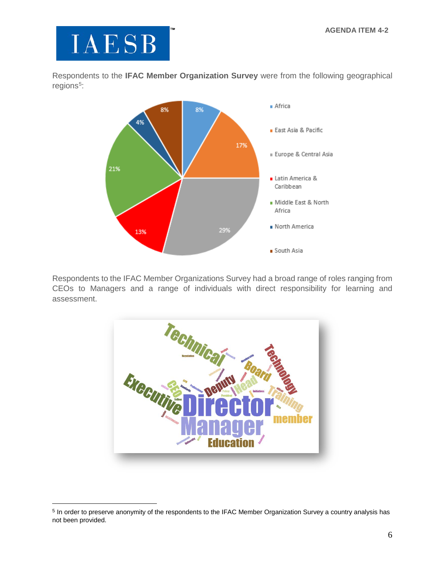

 $\overline{a}$ 

Respondents to the **IFAC Member Organization Survey** were from the following geographical regions<sup>[5](#page-6-0)</sup>:



Respondents to the IFAC Member Organizations Survey had a broad range of roles ranging from CEOs to Managers and a range of individuals with direct responsibility for learning and assessment.



<span id="page-6-0"></span><sup>&</sup>lt;sup>5</sup> In order to preserve anonymity of the respondents to the IFAC Member Organization Survey a country analysis has not been provided.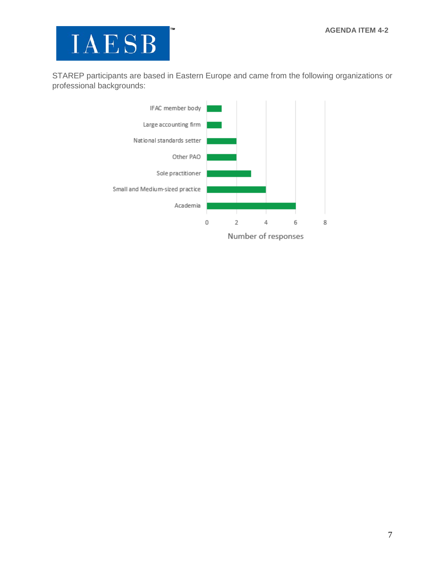

STAREP participants are based in Eastern Europe and came from the following organizations or professional backgrounds:

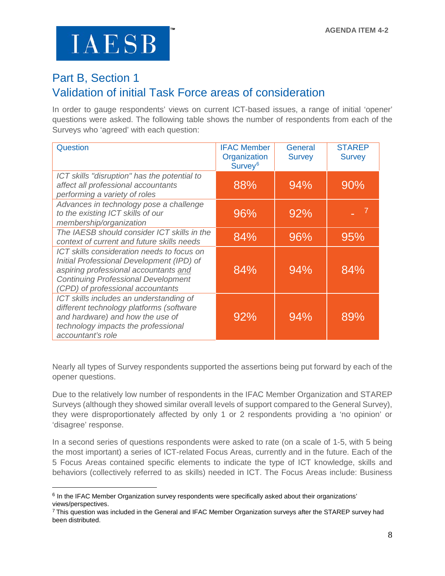$\overline{a}$ 

### <span id="page-8-0"></span>Part B, Section 1 Validation of initial Task Force areas of consideration

In order to gauge respondents' views on current ICT-based issues, a range of initial 'opener' questions were asked. The following table shows the number of respondents from each of the Surveys who 'agreed' with each question:

| Question                                                                                                                                                                                                            | <b>IFAC Member</b><br>Organization<br>Survey <sup>6</sup> | General<br><b>Survey</b> | <b>STAREP</b><br><b>Survey</b> |
|---------------------------------------------------------------------------------------------------------------------------------------------------------------------------------------------------------------------|-----------------------------------------------------------|--------------------------|--------------------------------|
| ICT skills "disruption" has the potential to<br>affect all professional accountants<br>performing a variety of roles                                                                                                | 88%                                                       | 94%                      | 90%                            |
| Advances in technology pose a challenge<br>to the existing ICT skills of our<br>membership/organization                                                                                                             | 96%                                                       | 92%                      |                                |
| The IAESB should consider ICT skills in the<br>context of current and future skills needs                                                                                                                           | 84%                                                       | 96%                      | 95%                            |
| ICT skills consideration needs to focus on<br>Initial Professional Development (IPD) of<br>aspiring professional accountants and<br><b>Continuing Professional Development</b><br>(CPD) of professional accountants | 84%                                                       | 94%                      | 84%                            |
| ICT skills includes an understanding of<br>different technology platforms (software<br>and hardware) and how the use of<br>technology impacts the professional<br>accountant's role                                 | 92%                                                       | 94%                      | 89%                            |

Nearly all types of Survey respondents supported the assertions being put forward by each of the opener questions.

Due to the relatively low number of respondents in the IFAC Member Organization and STAREP Surveys (although they showed similar overall levels of support compared to the General Survey), they were disproportionately affected by only 1 or 2 respondents providing a 'no opinion' or 'disagree' response.

In a second series of questions respondents were asked to rate (on a scale of 1-5, with 5 being the most important) a series of ICT-related Focus Areas, currently and in the future. Each of the 5 Focus Areas contained specific elements to indicate the type of ICT knowledge, skills and behaviors (collectively referred to as skills) needed in ICT. The Focus Areas include: Business

<span id="page-8-1"></span><sup>6</sup> In the IFAC Member Organization survey respondents were specifically asked about their organizations' views/perspectives.

<span id="page-8-2"></span><sup>7</sup> This question was included in the General and IFAC Member Organization surveys after the STAREP survey had been distributed.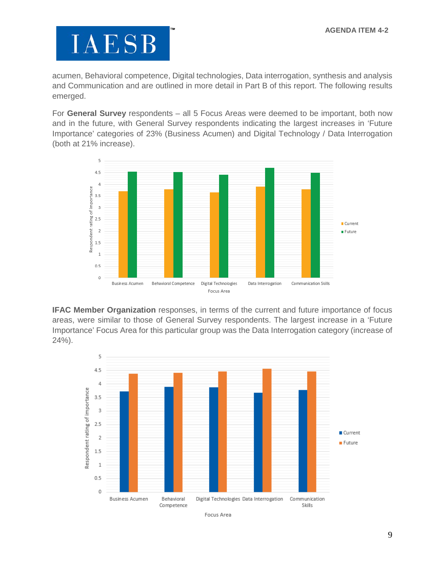acumen, Behavioral competence, Digital technologies, Data interrogation, synthesis and analysis and Communication and are outlined in more detail in Part B of this report. The following results emerged.

For **General Survey** respondents – all 5 Focus Areas were deemed to be important, both now and in the future, with General Survey respondents indicating the largest increases in 'Future Importance' categories of 23% (Business Acumen) and Digital Technology / Data Interrogation (both at 21% increase).



**IFAC Member Organization** responses, in terms of the current and future importance of focus areas, were similar to those of General Survey respondents. The largest increase in a 'Future Importance' Focus Area for this particular group was the Data Interrogation category (increase of 24%).

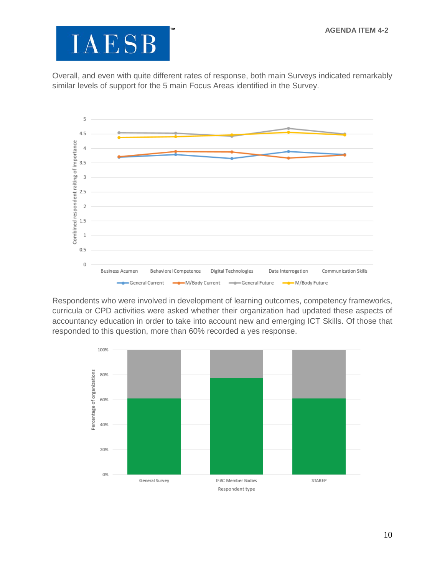Overall, and even with quite different rates of response, both main Surveys indicated remarkably similar levels of support for the 5 main Focus Areas identified in the Survey.



Respondents who were involved in development of learning outcomes, competency frameworks, curricula or CPD activities were asked whether their organization had updated these aspects of accountancy education in order to take into account new and emerging ICT Skills. Of those that responded to this question, more than 60% recorded a yes response.

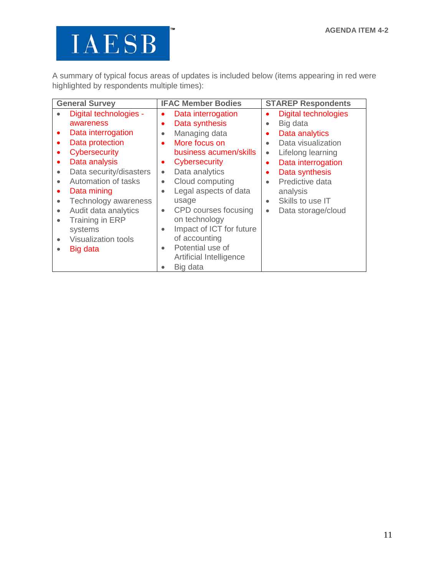A summary of typical focus areas of updates is included below (items appearing in red were highlighted by respondents multiple times):

| <b>General Survey</b>                   | <b>IFAC Member Bodies</b>             | <b>STAREP Respondents</b>                |  |
|-----------------------------------------|---------------------------------------|------------------------------------------|--|
| Digital technologies -<br>$\bullet$     | Data interrogation<br>$\bullet$       | <b>Digital technologies</b><br>$\bullet$ |  |
| awareness                               | Data synthesis<br>$\bullet$           | Big data<br>$\bullet$                    |  |
| Data interrogation<br>$\bullet$         | Managing data<br>$\bullet$            | Data analytics<br>٠                      |  |
| Data protection<br>٠                    | More focus on<br>$\bullet$            | Data visualization<br>$\bullet$          |  |
| Cybersecurity<br>٠                      | business acumen/skills                | Lifelong learning<br>$\bullet$           |  |
| Data analysis<br>$\bullet$              | Cybersecurity<br>$\bullet$            | Data interrogation<br>$\bullet$          |  |
| Data security/disasters<br>$\bullet$    | Data analytics<br>$\bullet$           | Data synthesis<br>$\bullet$              |  |
| Automation of tasks<br>$\bullet$        | Cloud computing<br>$\bullet$          | Predictive data<br>$\bullet$             |  |
| Data mining<br>٠                        | Legal aspects of data<br>$\bullet$    | analysis                                 |  |
| Technology awareness<br>$\bullet$       | usage                                 | Skills to use IT<br>$\bullet$            |  |
| Audit data analytics<br>$\bullet$       | CPD courses focusing<br>$\bullet$     | Data storage/cloud<br>$\bullet$          |  |
| Training in ERP<br>$\bullet$            | on technology                         |                                          |  |
| systems                                 | Impact of ICT for future<br>$\bullet$ |                                          |  |
| <b>Visualization tools</b><br>$\bullet$ | of accounting                         |                                          |  |
| Big data<br>$\bullet$                   | Potential use of<br>$\bullet$         |                                          |  |
|                                         | Artificial Intelligence               |                                          |  |
|                                         | Big data<br>$\bullet$                 |                                          |  |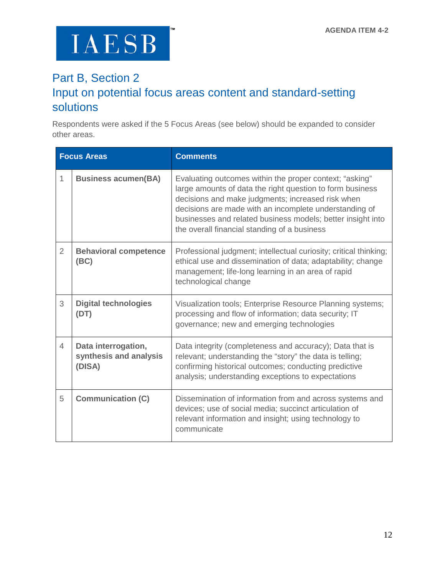### Part B, Section 2 Input on potential focus areas content and standard-setting solutions

Respondents were asked if the 5 Focus Areas (see below) should be expanded to consider other areas.

|                | <b>Focus Areas</b>                                      | <b>Comments</b>                                                                                                                                                                                                                                                                                                                                    |
|----------------|---------------------------------------------------------|----------------------------------------------------------------------------------------------------------------------------------------------------------------------------------------------------------------------------------------------------------------------------------------------------------------------------------------------------|
| 1              | <b>Business acumen(BA)</b>                              | Evaluating outcomes within the proper context; "asking"<br>large amounts of data the right question to form business<br>decisions and make judgments; increased risk when<br>decisions are made with an incomplete understanding of<br>businesses and related business models; better insight into<br>the overall financial standing of a business |
| $\overline{2}$ | <b>Behavioral competence</b><br>(BC)                    | Professional judgment; intellectual curiosity; critical thinking;<br>ethical use and dissemination of data; adaptability; change<br>management; life-long learning in an area of rapid<br>technological change                                                                                                                                     |
| 3              | <b>Digital technologies</b><br>(DT)                     | Visualization tools; Enterprise Resource Planning systems;<br>processing and flow of information; data security; IT<br>governance; new and emerging technologies                                                                                                                                                                                   |
| $\overline{4}$ | Data interrogation,<br>synthesis and analysis<br>(DISA) | Data integrity (completeness and accuracy); Data that is<br>relevant; understanding the "story" the data is telling;<br>confirming historical outcomes; conducting predictive<br>analysis; understanding exceptions to expectations                                                                                                                |
| 5              | <b>Communication (C)</b>                                | Dissemination of information from and across systems and<br>devices; use of social media; succinct articulation of<br>relevant information and insight; using technology to<br>communicate                                                                                                                                                         |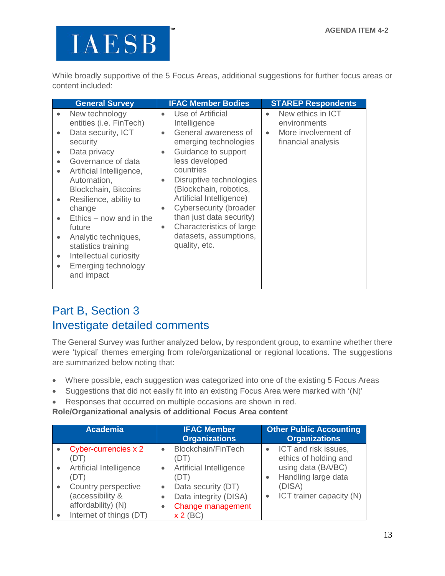While broadly supportive of the 5 Focus Areas, additional suggestions for further focus areas or content included:

| Use of Artificial<br>New ethics in ICT<br>New technology<br>entities (i.e. FinTech)<br>Intelligence<br>environments<br>General awareness of<br>Data security, ICT<br>More involvement of<br>$\bullet$<br>$\bullet$<br>$\bullet$<br>emerging technologies<br>financial analysis<br>security<br>Guidance to support<br>Data privacy<br>$\bullet$<br>$\bullet$<br>less developed<br>Governance of data<br>$\bullet$<br>countries<br>Artificial Intelligence,<br>$\bullet$<br>Disruptive technologies<br>Automation,<br>$\bullet$<br>(Blockchain, robotics,<br><b>Blockchain, Bitcoins</b><br>Artificial Intelligence)<br>Resilience, ability to<br>$\bullet$<br>Cybersecurity (broader<br>change<br>$\bullet$<br>than just data security)<br>$Ethics - now$ and in the<br>$\bullet$ | <b>General Survey</b> | <b>IFAC Member Bodies</b> | <b>STAREP Respondents</b> |
|----------------------------------------------------------------------------------------------------------------------------------------------------------------------------------------------------------------------------------------------------------------------------------------------------------------------------------------------------------------------------------------------------------------------------------------------------------------------------------------------------------------------------------------------------------------------------------------------------------------------------------------------------------------------------------------------------------------------------------------------------------------------------------|-----------------------|---------------------------|---------------------------|
|                                                                                                                                                                                                                                                                                                                                                                                                                                                                                                                                                                                                                                                                                                                                                                                  |                       |                           |                           |
| Characteristics of large<br>future<br>$\bullet$<br>datasets, assumptions,<br>Analytic techniques,<br>$\bullet$<br>quality, etc.<br>statistics training<br>Intellectual curiosity<br>$\bullet$<br>Emerging technology<br>$\bullet$<br>and impact                                                                                                                                                                                                                                                                                                                                                                                                                                                                                                                                  |                       |                           |                           |

### Part B, Section 3 Investigate detailed comments

The General Survey was further analyzed below, by respondent group, to examine whether there were 'typical' themes emerging from role/organizational or regional locations. The suggestions are summarized below noting that:

- Where possible, each suggestion was categorized into one of the existing 5 Focus Areas
- Suggestions that did not easily fit into an existing Focus Area were marked with '(N)'
- Responses that occurred on multiple occasions are shown in red.

#### **Role/Organizational analysis of additional Focus Area content**

|           | <b>Academia</b>                                               |                                     | <b>IFAC Member</b><br><b>Organizations</b>                       | <b>Other Public Accounting</b><br><b>Organizations</b> |
|-----------|---------------------------------------------------------------|-------------------------------------|------------------------------------------------------------------|--------------------------------------------------------|
|           | Cyber-currencies x 2<br>(DT)                                  | $\bullet$                           | <b>Blockchain/FinTech</b><br>(DT)                                | ICT and risk issues,<br>ethics of holding and          |
| $\bullet$ | Artificial Intelligence<br>(DT)                               | $\bullet$                           | Artificial Intelligence<br>(DT)                                  | using data (BA/BC)<br>Handling large data              |
| $\bullet$ | Country perspective<br>(accessibility &<br>affordability) (N) | $\bullet$<br>$\bullet$<br>$\bullet$ | Data security (DT)<br>Data integrity (DISA)<br>Change management | (DISA)<br>ICT trainer capacity (N)                     |
|           | Internet of things (DT)                                       |                                     | $x 2$ (BC)                                                       |                                                        |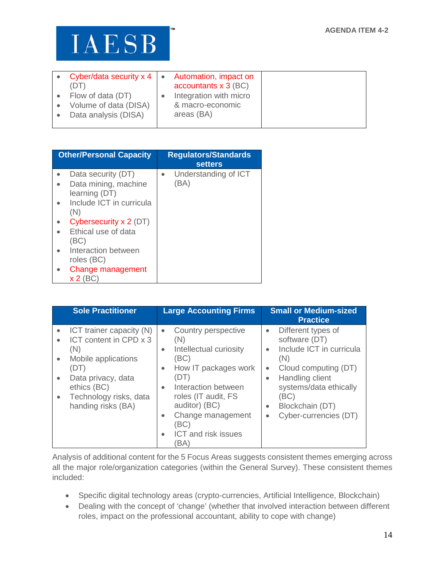| • Cyber/data security $x 4$ $\bullet$<br>(DT)                      | Automation, impact on<br>accountants $x$ 3 (BC)          |
|--------------------------------------------------------------------|----------------------------------------------------------|
| Flow of data (DT)<br>Volume of data (DISA)<br>Data analysis (DISA) | Integration with micro<br>& macro-economic<br>areas (BA) |

| <b>Other/Personal Capacity</b> | <b>Regulators/Standards</b><br><b>setters</b> |
|--------------------------------|-----------------------------------------------|
| Data security (DT)             | Understanding of ICT                          |
| Data mining, machine           | (BA)                                          |
| learning (DT)                  |                                               |
| Include ICT in curricula       |                                               |
| (N)                            |                                               |
| Cybersecurity x 2 (DT)         |                                               |
| Ethical use of data            |                                               |
| (BC)                           |                                               |
| Interaction between            |                                               |
| roles (BC)                     |                                               |
| Change management              |                                               |
| <b>x 2</b> (B                  |                                               |

| <b>Sole Practitioner</b>                                                                                                                                                                                             | <b>Large Accounting Firms</b>                                                                                                                                                                                                                                                                                | <b>Small or Medium-sized</b><br><b>Practice</b>                                                                                                                                                                                                     |
|----------------------------------------------------------------------------------------------------------------------------------------------------------------------------------------------------------------------|--------------------------------------------------------------------------------------------------------------------------------------------------------------------------------------------------------------------------------------------------------------------------------------------------------------|-----------------------------------------------------------------------------------------------------------------------------------------------------------------------------------------------------------------------------------------------------|
| ICT trainer capacity (N)<br>ICT content in CPD x 3<br>(N)<br>Mobile applications<br>$\bullet$<br>(DT)<br>Data privacy, data<br>$\bullet$<br>ethics (BC)<br>Technology risks, data<br>$\bullet$<br>handing risks (BA) | Country perspective<br>$\bullet$<br>(N)<br>Intellectual curiosity<br>$\bullet$<br>(BC)<br>How IT packages work<br>$\bullet$<br>(DT)<br>Interaction between<br>$\bullet$<br>roles (IT audit, FS<br>auditor) (BC)<br>Change management<br>$\bullet$<br>(BC)<br><b>ICT</b> and risk issues<br>$\bullet$<br>'BA) | Different types of<br>$\bullet$<br>software (DT)<br>Include ICT in curricula<br>(N)<br>Cloud computing (DT)<br>$\bullet$<br>Handling client<br>$\bullet$<br>systems/data ethically<br>(BC)<br>Blockchain (DT)<br>$\bullet$<br>Cyber-currencies (DT) |

Analysis of additional content for the 5 Focus Areas suggests consistent themes emerging across all the major role/organization categories (within the General Survey). These consistent themes included:

- Specific digital technology areas (crypto-currencies, Artificial Intelligence, Blockchain)
- Dealing with the concept of 'change' (whether that involved interaction between different roles, impact on the professional accountant, ability to cope with change)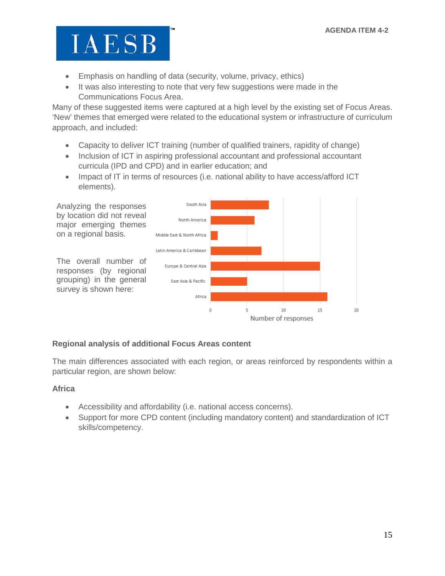- Emphasis on handling of data (security, volume, privacy, ethics)
- It was also interesting to note that very few suggestions were made in the Communications Focus Area.

Many of these suggested items were captured at a high level by the existing set of Focus Areas. 'New' themes that emerged were related to the educational system or infrastructure of curriculum approach, and included:

- Capacity to deliver ICT training (number of qualified trainers, rapidity of change)
- Inclusion of ICT in aspiring professional accountant and professional accountant curricula (IPD and CPD) and in earlier education; and
- Impact of IT in terms of resources (i.e. national ability to have access/afford ICT elements).



#### **Regional analysis of additional Focus Areas content**

The main differences associated with each region, or areas reinforced by respondents within a particular region, are shown below:

#### **Africa**

- Accessibility and affordability (i.e. national access concerns).
- Support for more CPD content (including mandatory content) and standardization of ICT skills/competency.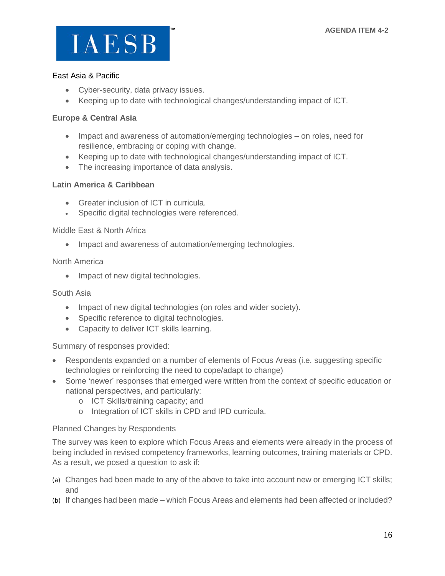

#### East Asia & Pacific

- Cyber-security, data privacy issues.
- Keeping up to date with technological changes/understanding impact of ICT.

#### **Europe & Central Asia**

- Impact and awareness of automation/emerging technologies on roles, need for resilience, embracing or coping with change.
- Keeping up to date with technological changes/understanding impact of ICT.
- The increasing importance of data analysis.

#### **Latin America & Caribbean**

- Greater inclusion of ICT in curricula.
- Specific digital technologies were referenced.

#### Middle East & North Africa

• Impact and awareness of automation/emerging technologies.

#### North America

• Impact of new digital technologies.

#### South Asia

- Impact of new digital technologies (on roles and wider society).
- Specific reference to digital technologies.
- Capacity to deliver ICT skills learning.

#### Summary of responses provided:

- Respondents expanded on a number of elements of Focus Areas (i.e. suggesting specific technologies or reinforcing the need to cope/adapt to change)
- Some 'newer' responses that emerged were written from the context of specific education or national perspectives, and particularly:
	- o ICT Skills/training capacity; and
	- o Integration of ICT skills in CPD and IPD curricula.

#### Planned Changes by Respondents

The survey was keen to explore which Focus Areas and elements were already in the process of being included in revised competency frameworks, learning outcomes, training materials or CPD. As a result, we posed a question to ask if:

- (a) Changes had been made to any of the above to take into account new or emerging ICT skills; and
- (b) If changes had been made which Focus Areas and elements had been affected or included?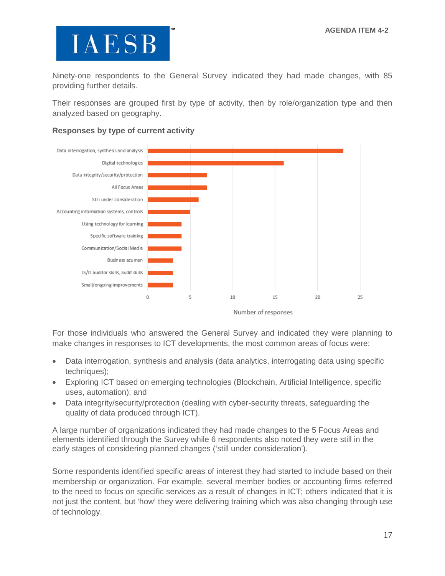Ninety-one respondents to the General Survey indicated they had made changes, with 85 providing further details.

Their responses are grouped first by type of activity, then by role/organization type and then analyzed based on geography.



#### **Responses by type of current activity**

Number of responses

For those individuals who answered the General Survey and indicated they were planning to make changes in responses to ICT developments, the most common areas of focus were:

- Data interrogation, synthesis and analysis (data analytics, interrogating data using specific techniques);
- Exploring ICT based on emerging technologies (Blockchain, Artificial Intelligence, specific uses, automation); and
- Data integrity/security/protection (dealing with cyber-security threats, safeguarding the quality of data produced through ICT).

A large number of organizations indicated they had made changes to the 5 Focus Areas and elements identified through the Survey while 6 respondents also noted they were still in the early stages of considering planned changes ('still under consideration').

Some respondents identified specific areas of interest they had started to include based on their membership or organization. For example, several member bodies or accounting firms referred to the need to focus on specific services as a result of changes in ICT; others indicated that it is not just the content, but 'how' they were delivering training which was also changing through use of technology.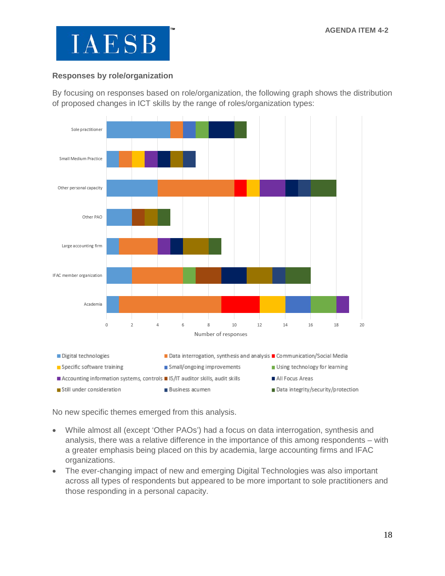

#### **Responses by role/organization**

By focusing on responses based on role/organization, the following graph shows the distribution of proposed changes in ICT skills by the range of roles/organization types:



No new specific themes emerged from this analysis.

- While almost all (except 'Other PAOs') had a focus on data interrogation, synthesis and analysis, there was a relative difference in the importance of this among respondents – with a greater emphasis being placed on this by academia, large accounting firms and IFAC organizations.
- The ever-changing impact of new and emerging Digital Technologies was also important across all types of respondents but appeared to be more important to sole practitioners and those responding in a personal capacity.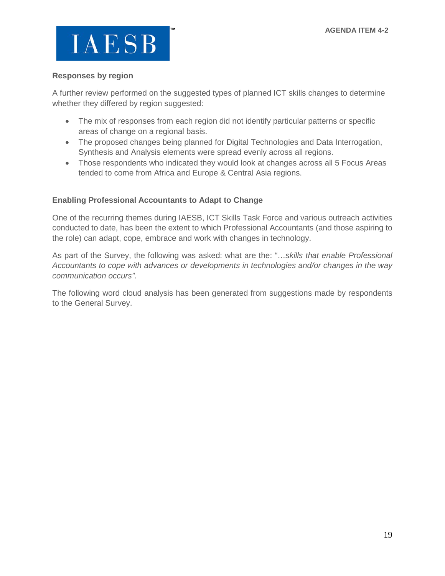

#### **Responses by region**

A further review performed on the suggested types of planned ICT skills changes to determine whether they differed by region suggested:

- The mix of responses from each region did not identify particular patterns or specific areas of change on a regional basis.
- The proposed changes being planned for Digital Technologies and Data Interrogation, Synthesis and Analysis elements were spread evenly across all regions.
- Those respondents who indicated they would look at changes across all 5 Focus Areas tended to come from Africa and Europe & Central Asia regions.

#### **Enabling Professional Accountants to Adapt to Change**

One of the recurring themes during IAESB, ICT Skills Task Force and various outreach activities conducted to date, has been the extent to which Professional Accountants (and those aspiring to the role) can adapt, cope, embrace and work with changes in technology.

As part of the Survey, the following was asked: what are the: "…*skills that enable Professional Accountants to cope with advances or developments in technologies and/or changes in the way communication occurs"*.

The following word cloud analysis has been generated from suggestions made by respondents to the General Survey.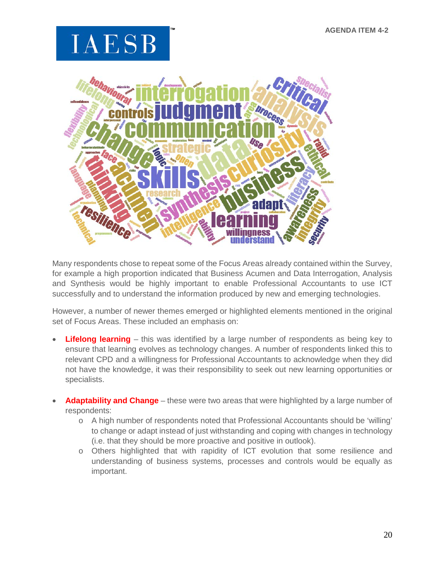

Many respondents chose to repeat some of the Focus Areas already contained within the Survey, for example a high proportion indicated that Business Acumen and Data Interrogation, Analysis and Synthesis would be highly important to enable Professional Accountants to use ICT successfully and to understand the information produced by new and emerging technologies.

However, a number of newer themes emerged or highlighted elements mentioned in the original set of Focus Areas. These included an emphasis on:

- **Lifelong learning** this was identified by a large number of respondents as being key to ensure that learning evolves as technology changes. A number of respondents linked this to relevant CPD and a willingness for Professional Accountants to acknowledge when they did not have the knowledge, it was their responsibility to seek out new learning opportunities or specialists.
- **Adaptability and Change** these were two areas that were highlighted by a large number of respondents:
	- o A high number of respondents noted that Professional Accountants should be 'willing' to change or adapt instead of just withstanding and coping with changes in technology (i.e. that they should be more proactive and positive in outlook).
	- o Others highlighted that with rapidity of ICT evolution that some resilience and understanding of business systems, processes and controls would be equally as important.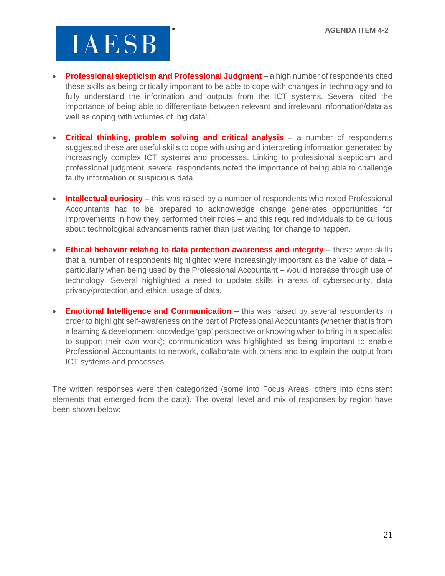- **Professional skepticism and Professional Judgment** a high number of respondents cited these skills as being critically important to be able to cope with changes in technology and to fully understand the information and outputs from the ICT systems. Several cited the importance of being able to differentiate between relevant and irrelevant information/data as well as coping with volumes of 'big data'.
- **Critical thinking, problem solving and critical analysis** a number of respondents suggested these are useful skills to cope with using and interpreting information generated by increasingly complex ICT systems and processes. Linking to professional skepticism and professional judgment, several respondents noted the importance of being able to challenge faulty information or suspicious data.
- **Intellectual curiosity** this was raised by a number of respondents who noted Professional Accountants had to be prepared to acknowledge change generates opportunities for improvements in how they performed their roles – and this required individuals to be curious about technological advancements rather than just waiting for change to happen.
- **Ethical behavior relating to data protection awareness and integrity** these were skills that a number of respondents highlighted were increasingly important as the value of data – particularly when being used by the Professional Accountant – would increase through use of technology. Several highlighted a need to update skills in areas of cybersecurity, data privacy/protection and ethical usage of data.
- **Emotional Intelligence and Communication** this was raised by several respondents in order to highlight self-awareness on the part of Professional Accountants (whether that is from a learning & development knowledge 'gap' perspective or knowing when to bring in a specialist to support their own work); communication was highlighted as being important to enable Professional Accountants to network, collaborate with others and to explain the output from ICT systems and processes.

The written responses were then categorized (some into Focus Areas, others into consistent elements that emerged from the data). The overall level and mix of responses by region have been shown below: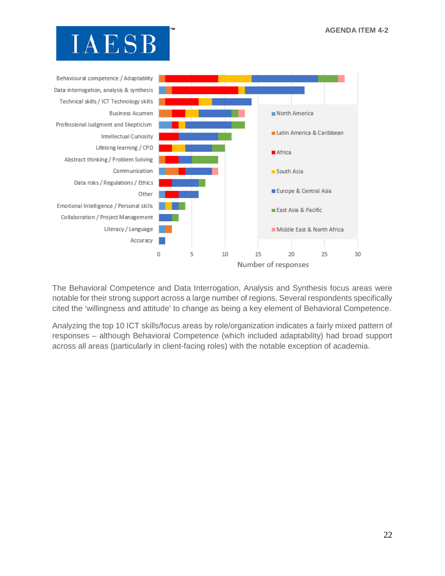

The Behavioral Competence and Data Interrogation, Analysis and Synthesis focus areas were notable for their strong support across a large number of regions. Several respondents specifically cited the 'willingness and attitude' to change as being a key element of Behavioral Competence.

Analyzing the top 10 ICT skills/focus areas by role/organization indicates a fairly mixed pattern of responses – although Behavioral Competence (which included adaptability) had broad support across all areas (particularly in client-facing roles) with the notable exception of academia.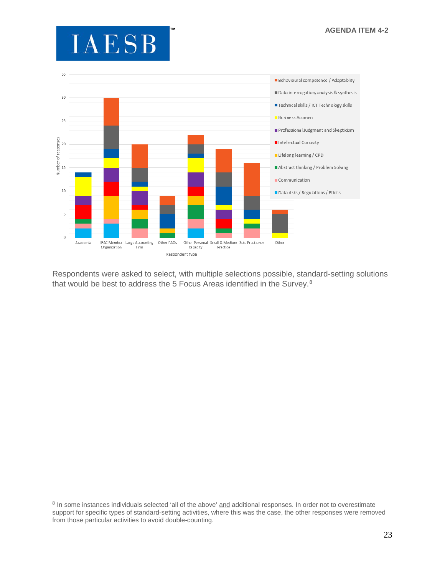$\overline{a}$ 



Respondents were asked to select, with multiple selections possible, standard-setting solutions that would be best to address the 5 Focus Areas identified in the Survey.<sup>[8](#page-23-0)</sup>

<span id="page-23-0"></span><sup>&</sup>lt;sup>8</sup> In some instances individuals selected 'all of the above' and additional responses. In order not to overestimate support for specific types of standard-setting activities, where this was the case, the other responses were removed from those particular activities to avoid double-counting.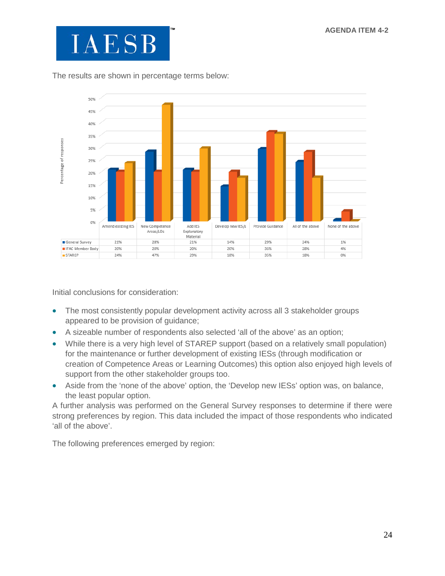

The results are shown in percentage terms below:



Initial conclusions for consideration:

- The most consistently popular development activity across all 3 stakeholder groups appeared to be provision of guidance;
- A sizeable number of respondents also selected 'all of the above' as an option;
- While there is a very high level of STAREP support (based on a relatively small population) for the maintenance or further development of existing IESs (through modification or creation of Competence Areas or Learning Outcomes) this option also enjoyed high levels of support from the other stakeholder groups too.
- Aside from the 'none of the above' option, the 'Develop new IESs' option was, on balance, the least popular option.

A further analysis was performed on the General Survey responses to determine if there were strong preferences by region. This data included the impact of those respondents who indicated 'all of the above'.

The following preferences emerged by region: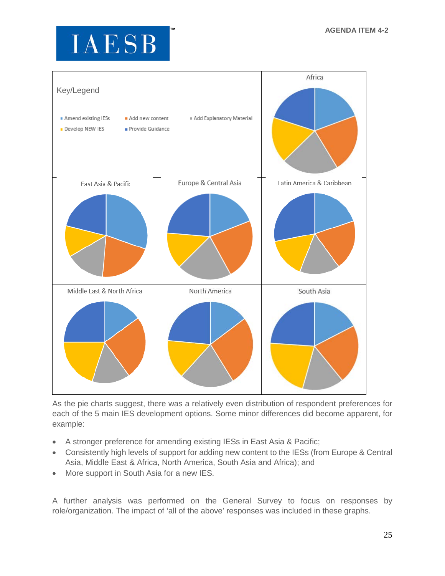

As the pie charts suggest, there was a relatively even distribution of respondent preferences for each of the 5 main IES development options. Some minor differences did become apparent, for example:

- A stronger preference for amending existing IESs in East Asia & Pacific;
- Consistently high levels of support for adding new content to the IESs (from Europe & Central Asia, Middle East & Africa, North America, South Asia and Africa); and
- More support in South Asia for a new IES.

A further analysis was performed on the General Survey to focus on responses by role/organization. The impact of 'all of the above' responses was included in these graphs.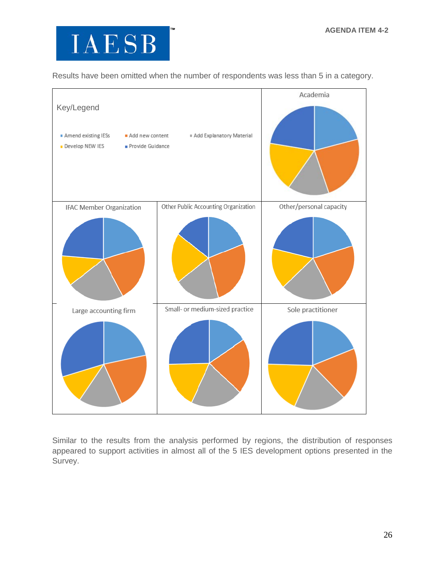

Results have been omitted when the number of respondents was less than 5 in a category.



Similar to the results from the analysis performed by regions, the distribution of responses appeared to support activities in almost all of the 5 IES development options presented in the Survey.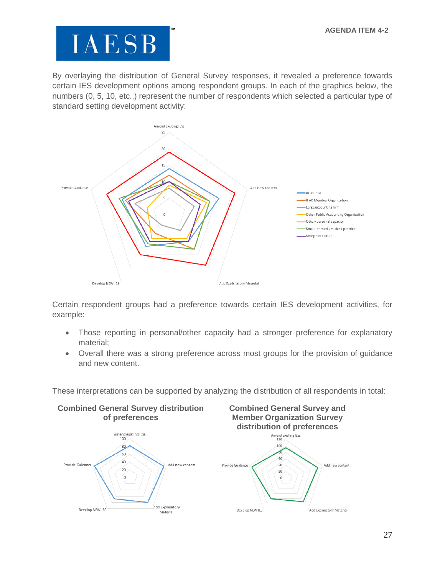By overlaying the distribution of General Survey responses, it revealed a preference towards certain IES development options among respondent groups. In each of the graphics below, the numbers (0, 5, 10, etc.,) represent the number of respondents which selected a particular type of standard setting development activity:



Certain respondent groups had a preference towards certain IES development activities, for example:

- Those reporting in personal/other capacity had a stronger preference for explanatory material;
- Overall there was a strong preference across most groups for the provision of guidance and new content.

These interpretations can be supported by analyzing the distribution of all respondents in total:

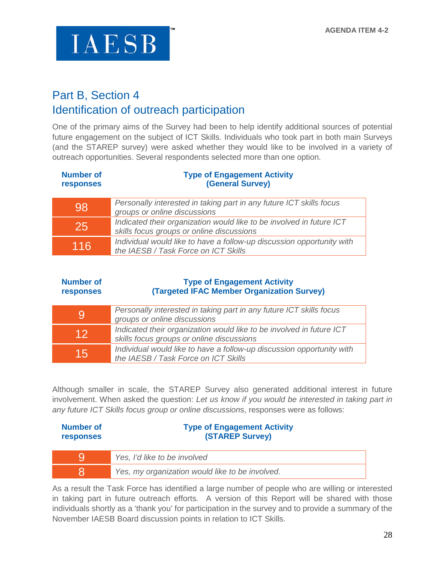

### Part B, Section 4 Identification of outreach participation

One of the primary aims of the Survey had been to help identify additional sources of potential future engagement on the subject of ICT Skills. Individuals who took part in both main Surveys (and the STAREP survey) were asked whether they would like to be involved in a variety of outreach opportunities. Several respondents selected more than one option.

| <b>Number of</b><br><b>responses</b> | <b>Type of Engagement Activity</b><br>(General Survey)                                                            |
|--------------------------------------|-------------------------------------------------------------------------------------------------------------------|
| 98                                   | Personally interested in taking part in any future ICT skills focus<br>groups or online discussions               |
| 25                                   | Indicated their organization would like to be involved in future ICT<br>skills focus groups or online discussions |
| 116                                  | Individual would like to have a follow-up discussion opportunity with<br>the IAESB / Task Force on ICT Skills     |

| <b>Number of</b><br>responses | <b>Type of Engagement Activity</b><br>(Targeted IFAC Member Organization Survey)                                  |
|-------------------------------|-------------------------------------------------------------------------------------------------------------------|
| 9                             | Personally interested in taking part in any future ICT skills focus<br>groups or online discussions               |
| 12                            | Indicated their organization would like to be involved in future ICT<br>skills focus groups or online discussions |
| 15                            | Individual would like to have a follow-up discussion opportunity with<br>the IAESB / Task Force on ICT Skills     |

Although smaller in scale, the STAREP Survey also generated additional interest in future involvement. When asked the question: *Let us know if you would be interested in taking part in any future ICT Skills focus group or online discussion*s, responses were as follows:

| Number of<br><b>responses</b> | <b>Type of Engagement Activity</b><br><b>(STAREP Survey)</b> |
|-------------------------------|--------------------------------------------------------------|
|                               | Yes, I'd like to be involved                                 |
|                               | Yes, my organization would like to be involved.              |

As a result the Task Force has identified a large number of people who are willing or interested in taking part in future outreach efforts. A version of this Report will be shared with those individuals shortly as a 'thank you' for participation in the survey and to provide a summary of the November IAESB Board discussion points in relation to ICT Skills.